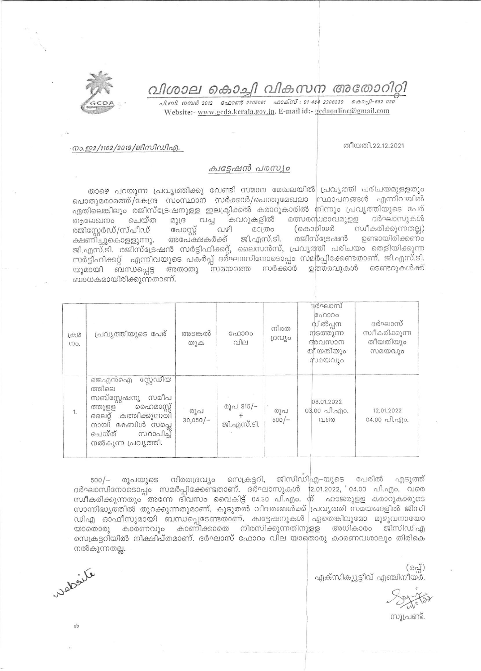വിശാല കൊച്ചി വികസന അതോറിറ്റി

<u>. வி. வி. எமூல் 2012 – வேலளால் 2205061 – வலக்ஸ் : 91 484 2206230 – கெல்வி–682 020</u> Website:- www.gcda.kerala.gov.in. E-mail id:- gcdaonline@gmail.com



## തീയതി.22.12.2021

## ക്വട്ടേഷൻ പരസ്യം

താഴെ പറയുന്ന പ്രവൃത്തിക്കു വേണ്ടി സമാന മേഖലയിൽ| പ്രവൃത്തി പരിചയമുളളതും പൊതുമരാമത്ത്/കേന്ദ്ര സംസ്ഥാന സർക്കാർ/പൊതുമേഖലാ സ്ഥാപനങ്ങൾ എന്നിവയിൽ ഏതിലെങ്കിലും രജിസ്ട്രേഷനുള്ള ഇലക്ട്രിക്കൽ കരാറുകാരിൽ നിന്നും പ്രവൃത്തിയുടെ പേര് മത്സരസ്വഭാവമുള്ള ദർഘാസുകൾ ആലേഖനം ചെയ്ത മുദ്ര വച്ച കവറുകളിൽ വഴി സ്വീകരിക്കുന്നതല്ല) പോസ്റ്റ് മാത്രം (കൊറിയർ രജിസ്റ്റേർഡ്/സ്പീഡ് അപേക്ഷകർക്ക് ജി.എസ്.ടി. രജിസ്ട്രേഷൻ ഉണ്ടായിരിക്കണം ക്ഷണിച്ചുകൊളളുന്നു. ജി.എസ്.ടി. രജിസ്ട്രേഷൻ സർട്ടിഫിക്കറ്റ്, ലൈസൻസ്, പ്രവൃത്തി പരിചയം തെളിയിക്കുന്ന സർട്ടിഫിക്കറ്റ് എന്നിവയുടെ പകർപ്പ് ദർഘാസിനോടൊപ്പം സമർപ്പിക്കേണ്ടതാണ്. ജി.എസ്.ടി. അതാതു സമയത്തെ സർക്കാർ ഉത്തരവുകൾ ടെണ്ടറുകൾക്ക് യുമായി ബന്ധപ്പെട്ട ബാധകമായിരിക്കുന്നതാണ്.

| $L^{(1)}(0)$<br>mo. | പ്രവ്യത്തിയുടെ പേര്                                                                                                                                                         | അടങ്കൽ<br>തുക     | ഫോറം<br>വില             | നിരത<br>ദ്രഗ്യാ | ദർഘാസ്<br>ഫോറം<br>വിൽപ്പന<br>നടത്തുന്ന<br>അവസാന<br>തീയതിയും<br>സമയവും | ദർഘാസ്<br>സ്വീകരിക്കുന്ന<br>തീയതിയും<br>സമയവും |
|---------------------|-----------------------------------------------------------------------------------------------------------------------------------------------------------------------------|-------------------|-------------------------|-----------------|-----------------------------------------------------------------------|------------------------------------------------|
| 1.                  | സ്റ്റേഡിയ<br>ജെഎൻഐ<br>ത്തിലെ<br>സമീപ<br>സബ്സ്റ്റേഷനു<br>ഹൈമാസ്റ്റ്<br>ത്തുളള<br>കത്തിക്കുന്നതി<br>ലൈറ്റ്<br>നായി് കേബിൾ സപ്ലെ<br>ചെയ്ത്<br>സ്ഥാപിച്ച്<br>നൽകുന്ന പ്രവൃത്തി. | രൂപ<br>$30,050/-$ | രൂപ 315/-<br>ജി.എസ്.ടി. | രൂപ<br>$500/-$  | 06.01.2022<br>03.00 പി.എം.<br>വരെ                                     | 12.01.2022<br>04.00 പി.എo.                     |

500/– രൂപയുടെ നിരതദ്രവ്യം സെക്രട്ടറി, ജിസിഡിഎ–യുടെ പേരിൽ എടുത്ത് ദർഘാസിനോടൊപ്പം സമർപ്പിക്കേണ്ടതാണ്. ദർഘാസുകൾ 12.01.2022, 04.00 പി.എം. വരെ സ്ഥീകരിക്കുന്നതും അന്നേ ദിവസം വൈകിട്ട് 04.30 പി.എം. ന് ഹാജരുളള കരാറുകാരുടെ സാന്നിദ്ധ്യത്തിൽ തുറക്കുന്നതുമാണ്. കൂടുതൽ വിവരങ്ങൾക്ക് പ്രവൃത്തി സമയങ്ങളിൽ ജിസി ഡിഎ ഓഫീസുമായി ബന്ധപ്പെടേണ്ടതാണ്. ക്വട്ടേഷനുകൾ ഏതെങ്കിലുമോ മുഴുവനായോ യാതൊരു കാരണവും കാണിക്കാതെ നിരസിക്കുന്നതിനുളള അധികാരം ജിസിഡിഎ സെക്രട്ടറിയിൽ നിക്ഷിപ്തമാണ്. ദർഘാസ് ഫോറം വില യാതൊരു കാരണവശാലും തിരികെ നൽകുന്നതല്ല.

> $($ ദപ്പ്) എക്സിക്യൂട്ടീവ് എഞ്ചിനീയർ.

സൂപ്രണ്ട്.

wederite